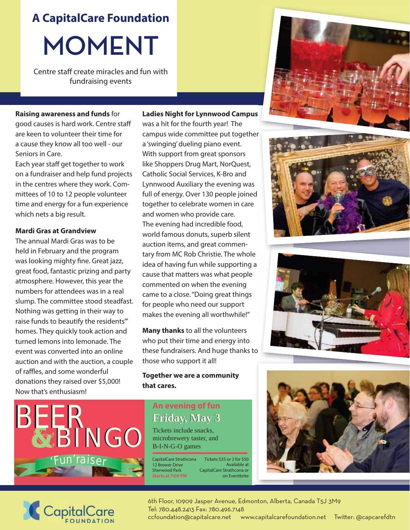**A CapitalCare Foundation**

# **MOMENT**

Centre staff create miracles and fun with fundraising events

#### **Raising awareness and funds** for

good causes is hard work. Centre staff are keen to volunteer their time for a cause they know all too well - our Seniors in Care.

Each year staff get together to work on a fundraiser and help fund projects in the centres where they work. Committees of 10 to 12 people volunteer time and energy for a fun experience which nets a big result.

#### **Mardi Gras at Grandview**

The annual Mardi Gras was to be held in February and the program was looking mighty fine. Great jazz, great food, fantastic prizing and party atmosphere. However, this year the numbers for attendees was in a real slump. The committee stood steadfast. Nothing was getting in their way to raise funds to beautify the residents"' homes. They quickly took action and turned lemons into lemonade. The event was converted into an online auction and with the auction, a couple of raffles, and some wonderful donations they raised over \$5,000! Now that's enthusiasm!

#### **Ladies Night for Lynnwood Campus**

was a hit for the fourth year! The campus wide committee put together a 'swinging' dueling piano event. With support from great sponsors like Shoppers Drug Mart, NorQuest, Catholic Social Services, K-Bro and Lynnwood Auxiliary the evening was full of energy. Over 130 people joined together to celebrate women in care and women who provide care. The evening had incredible food, world famous donuts, superb silent auction items, and great commentary from MC Rob Christie. The whole idea of having fun while supporting a cause that matters was what people commented on when the evening came to a close. "Doing great things for people who need our support makes the evening all worthwhile!"

**Many thanks** to all the volunteers who put their time and energy into these fundraisers. And huge thanks to those who support it all!

### **Together we are a community that cares.**



## **An evening of fun Friday, May 3 Friday, May 3**

Tickets include snacks, microbrewery taster, and B-I-N-G-O games

CapitalCare Strathcona Tickets \$35 or 2 for \$50 12 Brower Drive Sherwood Park **Starts at 7:00 PM** Available at CapitalCare Strathcona or on Eventbrite











6th Floor, 10909 Jasper Avenue, Edmonton, Alberta, Canada T5J 3M9 Tel: 780.448.2413 Fax: 780.496.7148 ccfoundation@capitalcare.net www.capitalcarefoundation.net Twitter: @capcarefdtn